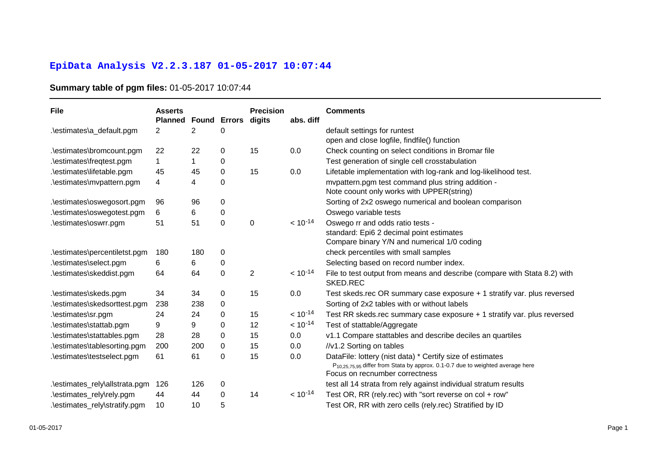## **EpiData Analysis V2.2.3.187 01-05-2017 10:07:44**

## **Summary table of pgm files:** 01-05-2017 10:07:44

| File                           | <b>Asserts</b><br><b>Planned</b> | Found       | <b>Errors</b> | <b>Precision</b><br>digits | abs. diff    | <b>Comments</b>                                                                                                                                                                           |
|--------------------------------|----------------------------------|-------------|---------------|----------------------------|--------------|-------------------------------------------------------------------------------------------------------------------------------------------------------------------------------------------|
| .\estimates\a_default.pgm      | 2                                | 2           | 0             |                            |              | default settings for runtest                                                                                                                                                              |
|                                |                                  |             |               |                            |              | open and close logfile, findfile() function                                                                                                                                               |
| .\estimates\bromcount.pgm      | 22                               | 22          | 0             | 15                         | 0.0          | Check counting on select conditions in Bromar file                                                                                                                                        |
| .\estimates\freqtest.pgm       | $\mathbf 1$                      | $\mathbf 1$ | 0             |                            |              | Test generation of single cell crosstabulation                                                                                                                                            |
| .\estimates\lifetable.pgm      | 45                               | 45          | 0             | 15                         | 0.0          | Lifetable implementation with log-rank and log-likelihood test.                                                                                                                           |
| .\estimates\mvpattern.pgm      | 4                                | 4           | 0             |                            |              | mvpattern.pgm test command plus string addition -<br>Note coount only works with UPPER(string)                                                                                            |
| .\estimates\oswegosort.pgm     | 96                               | 96          | 0             |                            |              | Sorting of 2x2 oswego numerical and boolean comparison                                                                                                                                    |
| .\estimates\oswegotest.pgm     | 6                                | 6           | 0             |                            |              | Oswego variable tests                                                                                                                                                                     |
| .\estimates\oswrr.pgm          | 51                               | 51          | 0             | 0                          | $< 10^{-14}$ | Oswego rr and odds ratio tests -                                                                                                                                                          |
|                                |                                  |             |               |                            |              | standard: Epi6 2 decimal point estimates                                                                                                                                                  |
|                                |                                  |             |               |                            |              | Compare binary Y/N and numerical 1/0 coding                                                                                                                                               |
| .\estimates\percentiletst.pgm  | 180                              | 180         | 0             |                            |              | check percentiles with small samples                                                                                                                                                      |
| .\estimates\select.pgm         | 6.                               | 6           | 0             |                            |              | Selecting based on record number index.                                                                                                                                                   |
| .\estimates\skeddist.pgm       | 64                               | 64          | 0             | $\overline{2}$             | $< 10^{-14}$ | File to test output from means and describe (compare with Stata 8.2) with<br><b>SKED.REC</b>                                                                                              |
| .\estimates\skeds.pgm          | 34                               | 34          | 0             | 15                         | 0.0          | Test skeds.rec OR summary case exposure + 1 stratify var. plus reversed                                                                                                                   |
| .\estimates\skedsorttest.pgm   | 238                              | 238         | 0             |                            |              | Sorting of 2x2 tables with or without labels                                                                                                                                              |
| .\estimates\sr.pgm             | 24                               | 24          | 0             | 15                         | $< 10^{-14}$ | Test RR skeds.rec summary case exposure + 1 stratify var. plus reversed                                                                                                                   |
| .\estimates\stattab.pgm        | 9                                | 9           | 0             | 12                         | $< 10^{-14}$ | Test of stattable/Aggregate                                                                                                                                                               |
| .\estimates\stattables.pgm     | 28                               | 28          | 0             | 15                         | 0.0          | v1.1 Compare stattables and describe deciles an quartiles                                                                                                                                 |
| .\estimates\tablesorting.pgm   | 200                              | 200         | 0             | 15                         | 0.0          | //v1.2 Sorting on tables                                                                                                                                                                  |
| .\estimates\testselect.pgm     | 61                               | 61          | 0             | 15                         | 0.0          | DataFile: lottery (nist data) * Certify size of estimates<br>P <sub>10.25.75.95</sub> differ from Stata by approx. 0.1-0.7 due to weighted average here<br>Focus on recnumber correctness |
| .\estimates_rely\allstrata.pgm | 126                              | 126         | 0             |                            |              | test all 14 strata from rely against individual stratum results                                                                                                                           |
| .\estimates_rely\rely.pgm      | 44                               | 44          | 0             | 14                         | $< 10^{-14}$ | Test OR, RR (rely.rec) with "sort reverse on col + row"                                                                                                                                   |
| .\estimates_rely\stratify.pgm  | 10                               | 10          | 5             |                            |              | Test OR, RR with zero cells (rely.rec) Stratified by ID                                                                                                                                   |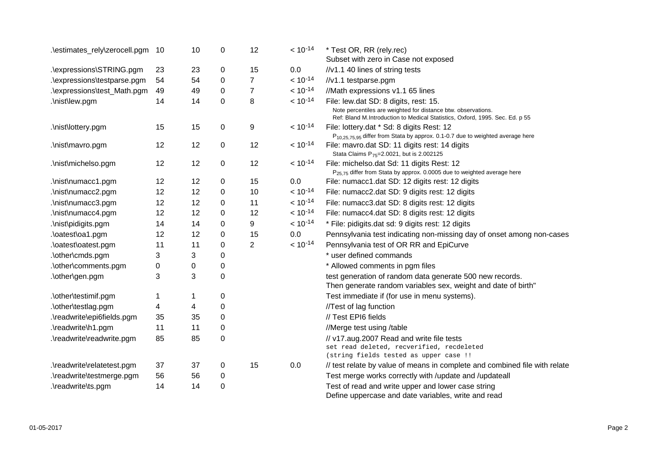| .\estimates_rely\zerocell.pgm | 10          | 10          | 0           | 12             | $< 10^{-14}$ | * Test OR, RR (rely.rec)<br>Subset with zero in Case not exposed                                                                              |
|-------------------------------|-------------|-------------|-------------|----------------|--------------|-----------------------------------------------------------------------------------------------------------------------------------------------|
| .\expressions\STRING.pgm      | 23          | 23          | 0           | 15             | 0.0          | //v1.1 40 lines of string tests                                                                                                               |
| .\expressions\testparse.pgm   | 54          | 54          | 0           | $\overline{7}$ | $< 10^{-14}$ | //v1.1 testparse.pgm                                                                                                                          |
| .\expressions\test_Math.pgm   | 49          | 49          | 0           | $\overline{7}$ | $< 10^{-14}$ | //Math expressions v1.1 65 lines                                                                                                              |
| .\nist\lew.pgm                | 14          | 14          | 0           | 8              | $< 10^{-14}$ | File: lew.dat SD: 8 digits, rest: 15.                                                                                                         |
|                               |             |             |             |                |              | Note percentiles are weighted for distance btw. observations.<br>Ref: Bland M.Introduction to Medical Statistics, Oxford, 1995. Sec. Ed. p 55 |
| .\nist\lottery.pgm            | 15          | 15          | 0           | 9              | $< 10^{-14}$ | File: lottery.dat * Sd: 8 digits Rest: 12<br>P <sub>10,25,75,95</sub> differ from Stata by approx. 0.1-0.7 due to weighted average here       |
| .\nist\mavro.pgm              | 12          | 12          | $\mathbf 0$ | 12             | $< 10^{-14}$ | File: mavro.dat SD: 11 digits rest: 14 digits<br>Stata Claims P <sub>75</sub> =2.0021, but is 2.002125                                        |
| .\nist\michelso.pgm           | 12          | 12          | 0           | 12             | $< 10^{-14}$ | File: michelso.dat Sd: 11 digits Rest: 12<br>P <sub>25.75</sub> differ from Stata by approx. 0.0005 due to weighted average here              |
| .\nist\numacc1.pgm            | 12          | 12          | 0           | 15             | 0.0          | File: numacc1.dat SD: 12 digits rest: 12 digits                                                                                               |
| .\nist\numacc2.pgm            | 12          | 12          | 0           | 10             | $< 10^{-14}$ | File: numacc2.dat SD: 9 digits rest: 12 digits                                                                                                |
| .\nist\numacc3.pgm            | 12          | 12          | 0           | 11             | $< 10^{-14}$ | File: numacc3.dat SD: 8 digits rest: 12 digits                                                                                                |
| .\nist\numacc4.pgm            | 12          | 12          | 0           | 12             | $< 10^{-14}$ | File: numacc4.dat SD: 8 digits rest: 12 digits                                                                                                |
| .\nist\pidigits.pgm           | 14          | 14          | 0           | 9              | $< 10^{-14}$ | * File: pidigits.dat sd: 9 digits rest: 12 digits                                                                                             |
| .\oatest\oa1.pgm              | 12          | 12          | 0           | 15             | 0.0          | Pennsylvania test indicating non-missing day of onset among non-cases                                                                         |
| .\oatest\oatest.pgm           | 11          | 11          | 0           | $\overline{2}$ | $< 10^{-14}$ | Pennsylvania test of OR RR and EpiCurve                                                                                                       |
| .\other\cmds.pgm              | 3           | 3           | 0           |                |              | * user defined commands                                                                                                                       |
| .\other\comments.pgm          | $\mathbf 0$ | 0           | 0           |                |              | * Allowed comments in pgm files                                                                                                               |
| .\other\gen.pgm               | 3           | 3           | 0           |                |              | test generation of random data generate 500 new records.<br>Then generate random variables sex, weight and date of birth"                     |
| .\other\testimif.pgm          | 1           | $\mathbf 1$ | 0           |                |              | Test immediate if (for use in menu systems).                                                                                                  |
| .\other\testlag.pgm           | 4           | 4           | 0           |                |              | //Test of lag function                                                                                                                        |
| .\readwrite\epi6fields.pgm    | 35          | 35          | 0           |                |              | // Test EPI6 fields                                                                                                                           |
| .\readwrite\h1.pgm            | 11          | 11          | 0           |                |              | //Merge test using /table                                                                                                                     |
| .\readwrite\readwrite.pgm     | 85          | 85          | 0           |                |              | // v17.aug.2007 Read and write file tests<br>set read deleted, recverified, recdeleted<br>(string fields tested as upper case !!              |
| .\readwrite\relatetest.pgm    | 37          | 37          | 0           | 15             | 0.0          | // test relate by value of means in complete and combined file with relate                                                                    |
| .\readwrite\testmerge.pgm     | 56          | 56          | 0           |                |              | Test merge works correctly with /update and /updateall                                                                                        |
| .\readwrite\ts.pgm            | 14          | 14          | 0           |                |              | Test of read and write upper and lower case string<br>Define uppercase and date variables, write and read                                     |